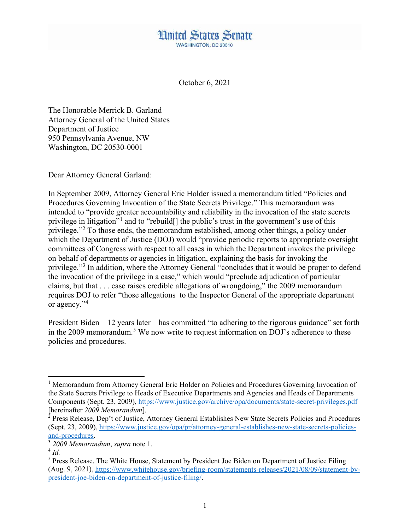

October 6, 2021

The Honorable Merrick B. Garland Attorney General of the United States Department of Justice 950 Pennsylvania Avenue, NW Washington, DC 20530-0001

Dear Attorney General Garland:

In September 2009, Attorney General Eric Holder issued a memorandum titled "Policies and Procedures Governing Invocation of the State Secrets Privilege." This memorandum was intended to "provide greater accountability and reliability in the invocation of the state secrets privilege in litigation"[1](#page-0-0) and to "rebuild[] the public's trust in the government's use of this privilege."[2](#page-0-1) To those ends, the memorandum established, among other things, a policy under which the Department of Justice (DOJ) would "provide periodic reports to appropriate oversight committees of Congress with respect to all cases in which the Department invokes the privilege on behalf of departments or agencies in litigation, explaining the basis for invoking the privilege."[3](#page-0-2) In addition, where the Attorney General "concludes that it would be proper to defend the invocation of the privilege in a case," which would "preclude adjudication of particular claims, but that . . . case raises credible allegations of wrongdoing," the 2009 memorandum requires DOJ to refer "those allegations to the Inspector General of the appropriate department or agency."<sup>[4](#page-0-3)</sup>

President Biden—12 years later—has committed "to adhering to the rigorous guidance" set forth in the 2009 memorandum.<sup>[5](#page-0-4)</sup> We now write to request information on DOJ's adherence to these policies and procedures.

l

<span id="page-0-0"></span><sup>&</sup>lt;sup>1</sup> Memorandum from Attorney General Eric Holder on Policies and Procedures Governing Invocation of the State Secrets Privilege to Heads of Executive Departments and Agencies and Heads of Departments Components (Sept. 23, 2009)[, https://www.justice.gov/archive/opa/documents/state-secret-privileges.pdf](https://www.justice.gov/archive/opa/documents/state-secret-privileges.pdf) [hereinafter *2009 Memorandum*].

<span id="page-0-1"></span><sup>&</sup>lt;sup>2</sup> Press Release, Dep't of Justice, Attorney General Establishes New State Secrets Policies and Procedures (Sept. 23, 2009), [https://www.justice.gov/opa/pr/attorney-general-establishes-new-state-secrets-policies](https://www.justice.gov/opa/pr/attorney-general-establishes-new-state-secrets-policies-and-procedures)[and-procedures.](https://www.justice.gov/opa/pr/attorney-general-establishes-new-state-secrets-policies-and-procedures)

<sup>3</sup> *2009 Memorandum*, *supra* note 1.

<span id="page-0-3"></span><span id="page-0-2"></span> $4$  *Id.* 

<span id="page-0-4"></span><sup>&</sup>lt;sup>5</sup> Press Release, The White House, Statement by President Joe Biden on Department of Justice Filing (Aug. 9, 2021), [https://www.whitehouse.gov/briefing-room/statements-releases/2021/08/09/statement-by](https://www.whitehouse.gov/briefing-room/statements-releases/2021/08/09/statement-by-president-joe-biden-on-department-of-justice-filing/)[president-joe-biden-on-department-of-justice-filing/.](https://www.whitehouse.gov/briefing-room/statements-releases/2021/08/09/statement-by-president-joe-biden-on-department-of-justice-filing/)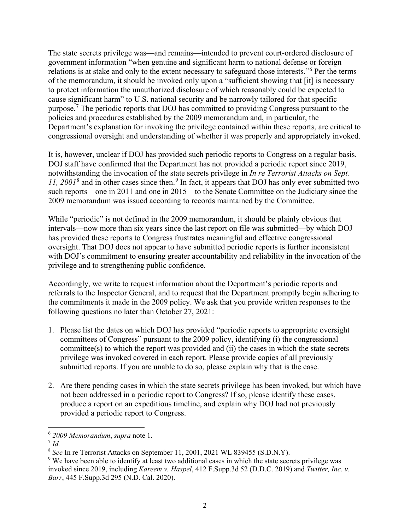The state secrets privilege was—and remains—intended to prevent court-ordered disclosure of government information "when genuine and significant harm to national defense or foreign relations is at stake and only to the extent necessary to safeguard those interests."<sup>[6](#page-1-0)</sup> Per the terms of the memorandum, it should be invoked only upon a "sufficient showing that [it] is necessary to protect information the unauthorized disclosure of which reasonably could be expected to cause significant harm" to U.S. national security and be narrowly tailored for that specific purpose.[7](#page-1-1) The periodic reports that DOJ has committed to providing Congress pursuant to the policies and procedures established by the 2009 memorandum and, in particular, the Department's explanation for invoking the privilege contained within these reports, are critical to congressional oversight and understanding of whether it was properly and appropriately invoked.

It is, however, unclear if DOJ has provided such periodic reports to Congress on a regular basis. DOJ staff have confirmed that the Department has not provided a periodic report since 2019, notwithstanding the invocation of the state secrets privilege in *In re Terrorist Attacks on Sept. 11, 2001*[8](#page-1-2) and in other cases since then.[9](#page-1-3) In fact, it appears that DOJ has only ever submitted two such reports—one in 2011 and one in 2015—to the Senate Committee on the Judiciary since the 2009 memorandum was issued according to records maintained by the Committee.

While "periodic" is not defined in the 2009 memorandum, it should be plainly obvious that intervals—now more than six years since the last report on file was submitted—by which DOJ has provided these reports to Congress frustrates meaningful and effective congressional oversight. That DOJ does not appear to have submitted periodic reports is further inconsistent with DOJ's commitment to ensuring greater accountability and reliability in the invocation of the privilege and to strengthening public confidence.

Accordingly, we write to request information about the Department's periodic reports and referrals to the Inspector General, and to request that the Department promptly begin adhering to the commitments it made in the 2009 policy. We ask that you provide written responses to the following questions no later than October 27, 2021:

- 1. Please list the dates on which DOJ has provided "periodic reports to appropriate oversight committees of Congress" pursuant to the 2009 policy, identifying (i) the congressional committee(s) to which the report was provided and (ii) the cases in which the state secrets privilege was invoked covered in each report. Please provide copies of all previously submitted reports. If you are unable to do so, please explain why that is the case.
- 2. Are there pending cases in which the state secrets privilege has been invoked, but which have not been addressed in a periodic report to Congress? If so, please identify these cases, produce a report on an expeditious timeline, and explain why DOJ had not previously provided a periodic report to Congress.

 $\overline{\phantom{a}}$ 

<span id="page-1-0"></span><sup>6</sup> *2009 Memorandum*, *supra* note 1.

<span id="page-1-1"></span><sup>7</sup> *Id.*

<span id="page-1-2"></span><sup>8</sup> *See* In re Terrorist Attacks on September 11, 2001, 2021 WL 839455 (S.D.N.Y).

<span id="page-1-3"></span><sup>&</sup>lt;sup>9</sup> We have been able to identify at least two additional cases in which the state secrets privilege was invoked since 2019, including *Kareem v. Haspel*, 412 F.Supp.3d 52 (D.D.C. 2019) and *Twitter, Inc. v. Barr*, 445 F.Supp.3d 295 (N.D. Cal. 2020).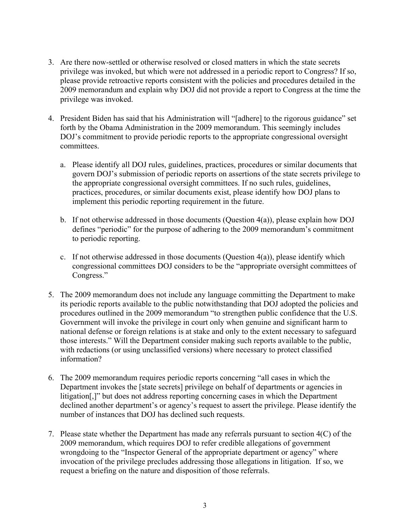- 3. Are there now-settled or otherwise resolved or closed matters in which the state secrets privilege was invoked, but which were not addressed in a periodic report to Congress? If so, please provide retroactive reports consistent with the policies and procedures detailed in the 2009 memorandum and explain why DOJ did not provide a report to Congress at the time the privilege was invoked.
- 4. President Biden has said that his Administration will "[adhere] to the rigorous guidance" set forth by the Obama Administration in the 2009 memorandum. This seemingly includes DOJ's commitment to provide periodic reports to the appropriate congressional oversight committees.
	- a. Please identify all DOJ rules, guidelines, practices, procedures or similar documents that govern DOJ's submission of periodic reports on assertions of the state secrets privilege to the appropriate congressional oversight committees. If no such rules, guidelines, practices, procedures, or similar documents exist, please identify how DOJ plans to implement this periodic reporting requirement in the future.
	- b. If not otherwise addressed in those documents (Question  $4(a)$ ), please explain how DOJ defines "periodic" for the purpose of adhering to the 2009 memorandum's commitment to periodic reporting.
	- c. If not otherwise addressed in those documents (Question  $4(a)$ ), please identify which congressional committees DOJ considers to be the "appropriate oversight committees of Congress."
- 5. The 2009 memorandum does not include any language committing the Department to make its periodic reports available to the public notwithstanding that DOJ adopted the policies and procedures outlined in the 2009 memorandum "to strengthen public confidence that the U.S. Government will invoke the privilege in court only when genuine and significant harm to national defense or foreign relations is at stake and only to the extent necessary to safeguard those interests." Will the Department consider making such reports available to the public, with redactions (or using unclassified versions) where necessary to protect classified information?
- 6. The 2009 memorandum requires periodic reports concerning "all cases in which the Department invokes the [state secrets] privilege on behalf of departments or agencies in litigation[,]" but does not address reporting concerning cases in which the Department declined another department's or agency's request to assert the privilege. Please identify the number of instances that DOJ has declined such requests.
- 7. Please state whether the Department has made any referrals pursuant to section 4(C) of the 2009 memorandum, which requires DOJ to refer credible allegations of government wrongdoing to the "Inspector General of the appropriate department or agency" where invocation of the privilege precludes addressing those allegations in litigation. If so, we request a briefing on the nature and disposition of those referrals.